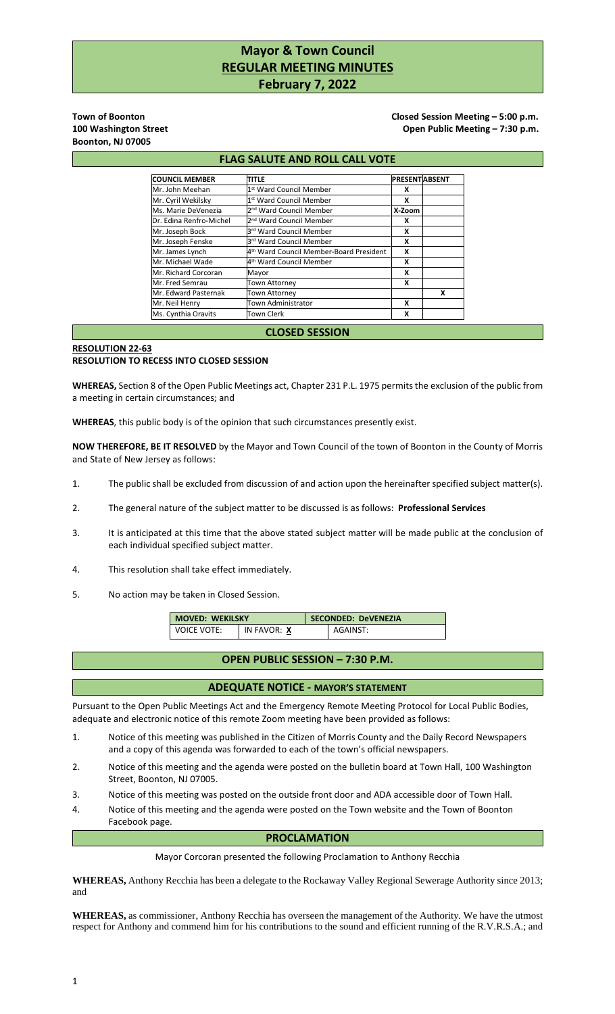# **Mayor & Town Council REGULAR MEETING MINUTES February 7, 2022**

**Boonton, NJ 07005** 

**Town of Boonton Closed Session Meeting – 5:00 p.m. Closed Session Meeting – 5:00 p.m.** 100 Washington Street **100 Washington Street Community** Channel Community Community Channel Open Public Meeting – 7:30 p.m.

#### **FLAG SALUTE AND ROLL CALL VOTE COUNCIL MEMBER TITLE PRESENT PRESENT** Mr. John Meehan 1 st Ward Council Member **X** Mr. Cyril Wekilsky 1 st Ward Council Member **X** Ms. Marie DeVenezia 2 nd Ward Council Member **X-Zoom** Dr. Edina Renfro-Michel 2<sup>nd</sup> Ward Council Member **X** Mr. Joseph Bock rd Ward Council Member **X** Mr. Joseph Fenske rd Ward Council Member **X** Mr. James Lynch th Ward Council Member-Board President **X**  Mr. Michael Wade 4<sup>th</sup> War<br>Mr. Richard Co<u>rcoran Mayor</u> th Ward Council Member **X** Mr. Richard Corcoran Mayor **X** Mr. Fred Semrau Town Attorney **X** Mr. Edward Pasternak Town Attorney **X** Mr. Neil Henry Town Administrator **X** Ms. Cynthia Oravits Town Clerk **X CLOSED SESSION**

# **RESOLUTION 22-63**

#### **RESOLUTION TO RECESS INTO CLOSED SESSION**

**WHEREAS,** Section 8 of the Open Public Meetings act, Chapter 231 P.L. 1975 permits the exclusion of the public from a meeting in certain circumstances; and

**WHEREAS**, this public body is of the opinion that such circumstances presently exist.

**NOW THEREFORE, BE IT RESOLVED** by the Mayor and Town Council of the town of Boonton in the County of Morris and State of New Jersey as follows:

- 1. The public shall be excluded from discussion of and action upon the hereinafter specified subject matter(s).
- 2. The general nature of the subject matter to be discussed is as follows: **Professional Services**
- 3. It is anticipated at this time that the above stated subject matter will be made public at the conclusion of each individual specified subject matter.
- 4. This resolution shall take effect immediately.
- 5. No action may be taken in Closed Session.

| <b>MOVED: WEKILSKY</b> |             | <b>SECONDED: DeVENEZIA</b> |          |
|------------------------|-------------|----------------------------|----------|
| VOICE VOTE:            | IN FAVOR: X |                            | AGAINST: |

### **OPEN PUBLIC SESSION – 7:30 P.M.**

#### **ADEQUATE NOTICE - MAYOR'S STATEMENT**

Pursuant to the Open Public Meetings Act and the Emergency Remote Meeting Protocol for Local Public Bodies, adequate and electronic notice of this remote Zoom meeting have been provided as follows:

- 1. Notice of this meeting was published in the Citizen of Morris County and the Daily Record Newspapers and a copy of this agenda was forwarded to each of the town's official newspapers.
- 2. Notice of this meeting and the agenda were posted on the bulletin board at Town Hall, 100 Washington Street, Boonton, NJ 07005.
- 3. Notice of this meeting was posted on the outside front door and ADA accessible door of Town Hall.
- 4. Notice of this meeting and the agenda were posted on the Town website and the Town of Boonton Facebook page.

## **PROCLAMATION**

Mayor Corcoran presented the following Proclamation to Anthony Recchia

**WHEREAS,** Anthony Recchia has been a delegate to the Rockaway Valley Regional Sewerage Authority since 2013; and

**WHEREAS,** as commissioner, Anthony Recchia has overseen the management of the Authority. We have the utmost respect for Anthony and commend him for his contributions to the sound and efficient running of the R.V.R.S.A.; and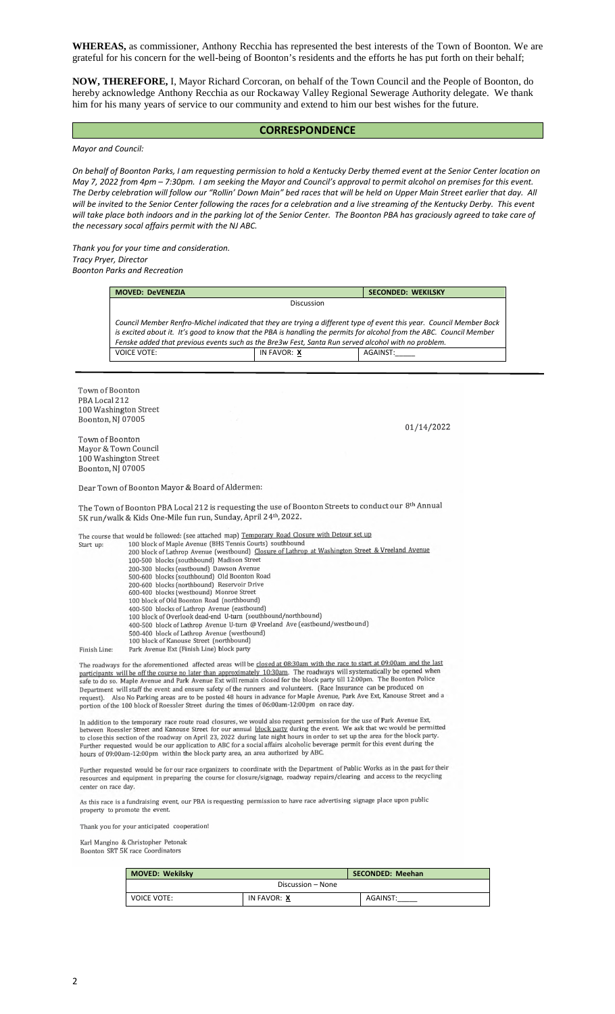**WHEREAS,** as commissioner, Anthony Recchia has represented the best interests of the Town of Boonton. We are grateful for his concern for the well-being of Boonton's residents and the efforts he has put forth on their behalf;

**NOW, THEREFORE,** I, Mayor Richard Corcoran, on behalf of the Town Council and the People of Boonton, do hereby acknowledge Anthony Recchia as our Rockaway Valley Regional Sewerage Authority delegate. We thank him for his many years of service to our community and extend to him our best wishes for the future.

#### **CORRESPONDENCE**

*Mayor and Council:* 

*On behalf of Boonton Parks, I am requesting permission to hold a Kentucky Derby themed event at the Senior Center location on May 7, 2022 from 4pm – 7:30pm. I am seeking the Mayor and Council's approval to permit alcohol on premises for this event. The Derby celebration will follow our "Rollin' Down Main" bed races that will be held on Upper Main Street earlier that day. All will be invited to the Senior Center following the races for a celebration and a live streaming of the Kentucky Derby. This event will take place both indoors and in the parking lot of the Senior Center. The Boonton PBA has graciously agreed to take care of the necessary socal affairs permit with the NJ ABC.* 

*Thank you for your time and consideration. Tracy Pryer, Director Boonton Parks and Recreation* 

| <b>MOVED: DeVENEZIA</b>                                                                                                                                                                                                     |             | <b>SECONDED: WEKILSKY</b>                                                                                            |
|-----------------------------------------------------------------------------------------------------------------------------------------------------------------------------------------------------------------------------|-------------|----------------------------------------------------------------------------------------------------------------------|
|                                                                                                                                                                                                                             | Discussion  |                                                                                                                      |
| is excited about it. It's good to know that the PBA is handling the permits for alcohol from the ABC. Council Member<br>Fenske added that previous events such as the Bre3w Fest, Santa Run served alcohol with no problem. |             | Council Member Renfro-Michel indicated that they are trying a different type of event this year. Council Member Bock |
| <b>VOICE VOTE:</b>                                                                                                                                                                                                          | IN FAVOR: X | AGAINST:                                                                                                             |

Town of Boonton PBA Local 212 100 Washington Street Boonton, NJ 07005

01/14/2022

Town of Boonton Mayor & Town Council 100 Washington Street Boonton, NJ 07005

Dear Town of Boonton Mayor & Board of Aldermen:

The Town of Boonton PBA Local 212 is requesting the use of Boonton Streets to conduct our 8th Annual 5K run/walk & Kids One-Mile fun run, Sunday, April 24th, 2022.

The course that would be followed: (see attached map) Temporary Road Closure with Detour set up 100 block of Maple Avenue (BHS Tennis Courts) southbound<br>100 block of Maple Avenue (BHS Tennis Courts) southbound<br>200 block of Lathrop Avenue (westbound) Closure of Lathrop at Washington Street & Vreeland Avenue Start up: 100-500 blocks (southbound) Madison Street 200-300 blocks (eastbound) Dawson Avenue 500-600 blocks (southbound) Old Boonton Road 200-600 blocks (southbound) of a Booken Reservoir Drive<br>600-400 blocks (westbound) Monroe Street 100 block of Old Boonton Road (northbound) 100 blocks of Lathrop Avenue (eastbound)<br>400-500 blocks of Lathrop Avenue (eastbound)<br>100 block of Overlook dead-end U-turn (southbound/northbound) 400-500 block of Lathrop Avenue U-turn @ Vreeland Ave (eastbound/westbound) 500-400 block of Lathrop Avenue (westbound)<br>100 block of Kanouse Street (northbound) Park Avenue Ext (Finish Line) block party Finish Line:

The roadways for the aforementioned affected areas will be closed at 08:30am with the race to start at 09:00am and the last The roadways for the anormalioned antected areas with our shown of the roadways will systematically be opened when<br>participants will be off the course no later than approximately 10:30am. The roadways will systematically b Sue to do so. Happe Western and ensure safety of the runners and volunteers. (Race Insurance can be produced on request). Also No Parking areas are to be posted 48 hours in advance for Maple Avenue, Park Ave Ext, Kanouse S

In addition to the temporary race route road closures, we would also request permission for the use of Park Avenue Ext,<br>between Roessler Street and Kanouse Street for our annual <u>block party</u> during the event. We ask that

Further requested would be for our race organizers to coordinate with the Department of Public Works as in the past for their resources and equipment in preparing the course for closure/signage, roadway repairs/clearing and access to the recycling center on race day.

As this race is a fundraising event, our PBA is requesting permission to have race advertising signage place upon public property to promote the event.

Thank you for your anticipated cooperation!

Karl Mangino & Christopher Petonak

Boonton SRT 5K race Coordinators

| <b>MOVED: Wekilsky</b> |                   | <b>SECONDED: Meehan</b> |
|------------------------|-------------------|-------------------------|
|                        | Discussion - None |                         |
| <b>VOICE VOTE:</b>     | IN FAVOR: X       | AGAINST:                |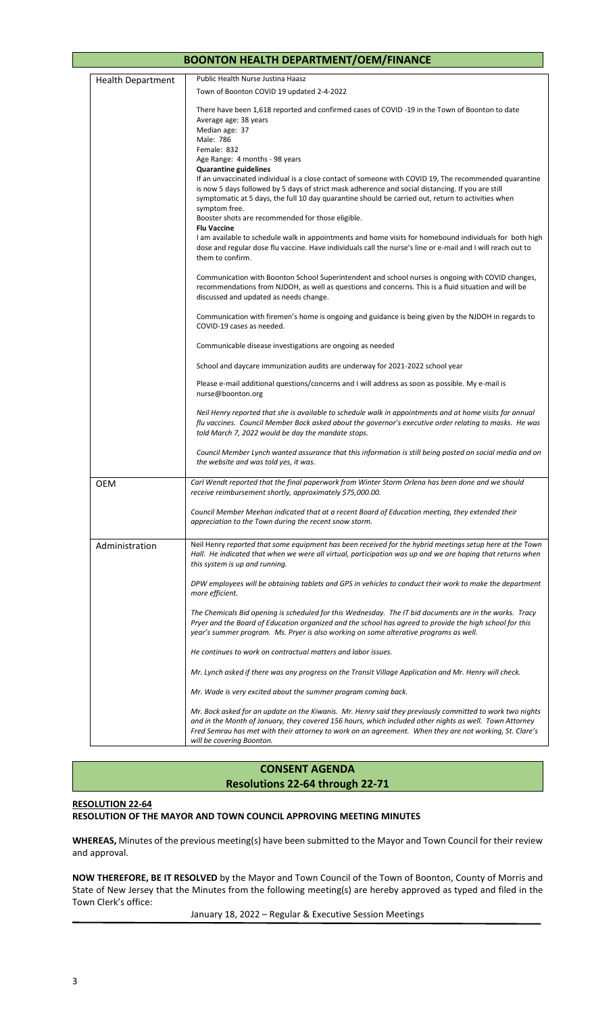|                          | <b>BOONTON HEALTH DEPARTMENT/OEM/FINANCE</b>                                                                                                                                                                                                                                                                                                                                                                                                                                                                                                                                                                                                                                                                                                                                                                                                                                                          |
|--------------------------|-------------------------------------------------------------------------------------------------------------------------------------------------------------------------------------------------------------------------------------------------------------------------------------------------------------------------------------------------------------------------------------------------------------------------------------------------------------------------------------------------------------------------------------------------------------------------------------------------------------------------------------------------------------------------------------------------------------------------------------------------------------------------------------------------------------------------------------------------------------------------------------------------------|
| <b>Health Department</b> | Public Health Nurse Justina Haasz                                                                                                                                                                                                                                                                                                                                                                                                                                                                                                                                                                                                                                                                                                                                                                                                                                                                     |
|                          | Town of Boonton COVID 19 updated 2-4-2022                                                                                                                                                                                                                                                                                                                                                                                                                                                                                                                                                                                                                                                                                                                                                                                                                                                             |
|                          | There have been 1,618 reported and confirmed cases of COVID -19 in the Town of Boonton to date<br>Average age: 38 years<br>Median age: 37<br>Male: 786<br>Female: 832<br>Age Range: 4 months - 98 years<br><b>Quarantine guidelines</b><br>If an unvaccinated individual is a close contact of someone with COVID 19, The recommended quarantine<br>is now 5 days followed by 5 days of strict mask adherence and social distancing. If you are still<br>symptomatic at 5 days, the full 10 day quarantine should be carried out, return to activities when<br>symptom free.<br>Booster shots are recommended for those eligible.<br><b>Flu Vaccine</b><br>I am available to schedule walk in appointments and home visits for homebound individuals for both high<br>dose and regular dose flu vaccine. Have individuals call the nurse's line or e-mail and I will reach out to<br>them to confirm. |
|                          | Communication with Boonton School Superintendent and school nurses is ongoing with COVID changes,<br>recommendations from NJDOH, as well as questions and concerns. This is a fluid situation and will be<br>discussed and updated as needs change.                                                                                                                                                                                                                                                                                                                                                                                                                                                                                                                                                                                                                                                   |
|                          | Communication with firemen's home is ongoing and guidance is being given by the NJDOH in regards to<br>COVID-19 cases as needed.                                                                                                                                                                                                                                                                                                                                                                                                                                                                                                                                                                                                                                                                                                                                                                      |
|                          | Communicable disease investigations are ongoing as needed                                                                                                                                                                                                                                                                                                                                                                                                                                                                                                                                                                                                                                                                                                                                                                                                                                             |
|                          | School and daycare immunization audits are underway for 2021-2022 school year                                                                                                                                                                                                                                                                                                                                                                                                                                                                                                                                                                                                                                                                                                                                                                                                                         |
|                          | Please e-mail additional questions/concerns and I will address as soon as possible. My e-mail is<br>nurse@boonton.org                                                                                                                                                                                                                                                                                                                                                                                                                                                                                                                                                                                                                                                                                                                                                                                 |
|                          | Neil Henry reported that she is available to schedule walk in appointments and at home visits for annual<br>flu vaccines. Council Member Bock asked about the governor's executive order relating to masks. He was<br>told March 7, 2022 would be day the mandate stops.                                                                                                                                                                                                                                                                                                                                                                                                                                                                                                                                                                                                                              |
|                          | Council Member Lynch wanted assurance that this information is still being posted on social media and on<br>the website and was told yes, it was.                                                                                                                                                                                                                                                                                                                                                                                                                                                                                                                                                                                                                                                                                                                                                     |
| <b>OEM</b>               | Carl Wendt reported that the final paperwork from Winter Storm Orlena has been done and we should<br>receive reimbursement shortly, approximately \$75,000.00.                                                                                                                                                                                                                                                                                                                                                                                                                                                                                                                                                                                                                                                                                                                                        |
|                          | Council Member Meehan indicated that at a recent Board of Education meeting, they extended their<br>appreciation to the Town during the recent snow storm.                                                                                                                                                                                                                                                                                                                                                                                                                                                                                                                                                                                                                                                                                                                                            |
| Administration           | Neil Henry reported that some equipment has been received for the hybrid meetings setup here at the Town<br>Hall. He indicated that when we were all virtual, participation was up and we are hoping that returns when<br>this system is up and running.                                                                                                                                                                                                                                                                                                                                                                                                                                                                                                                                                                                                                                              |
|                          | DPW employees will be obtaining tablets and GPS in vehicles to conduct their work to make the department<br>more efficient.                                                                                                                                                                                                                                                                                                                                                                                                                                                                                                                                                                                                                                                                                                                                                                           |
|                          | The Chemicals Bid opening is scheduled for this Wednesday. The IT bid documents are in the works. Tracy<br>Pryer and the Board of Education organized and the school has agreed to provide the high school for this<br>year's summer program. Ms. Pryer is also working on some alterative programs as well.                                                                                                                                                                                                                                                                                                                                                                                                                                                                                                                                                                                          |
|                          | He continues to work on contractual matters and labor issues.                                                                                                                                                                                                                                                                                                                                                                                                                                                                                                                                                                                                                                                                                                                                                                                                                                         |
|                          | Mr. Lynch asked if there was any progress on the Transit Village Application and Mr. Henry will check.                                                                                                                                                                                                                                                                                                                                                                                                                                                                                                                                                                                                                                                                                                                                                                                                |
|                          | Mr. Wade is very excited about the summer program coming back.                                                                                                                                                                                                                                                                                                                                                                                                                                                                                                                                                                                                                                                                                                                                                                                                                                        |
|                          | Mr. Bock asked for an update on the Kiwanis. Mr. Henry said they previously committed to work two nights<br>and in the Month of January, they covered 156 hours, which included other nights as well. Town Attorney<br>Fred Semrau has met with their attorney to work on an agreement. When they are not working, St. Clare's<br>will be covering Boonton.                                                                                                                                                                                                                                                                                                                                                                                                                                                                                                                                           |

# **CONSENT AGENDA Resolutions 22-64 through 22-71**

### **RESOLUTION 22-64**

#### **RESOLUTION OF THE MAYOR AND TOWN COUNCIL APPROVING MEETING MINUTES**

**WHEREAS,** Minutes of the previous meeting(s) have been submitted to the Mayor and Town Council for their review and approval.

**NOW THEREFORE, BE IT RESOLVED** by the Mayor and Town Council of the Town of Boonton, County of Morris and State of New Jersey that the Minutes from the following meeting(s) are hereby approved as typed and filed in the Town Clerk's office:

January 18, 2022 – Regular & Executive Session Meetings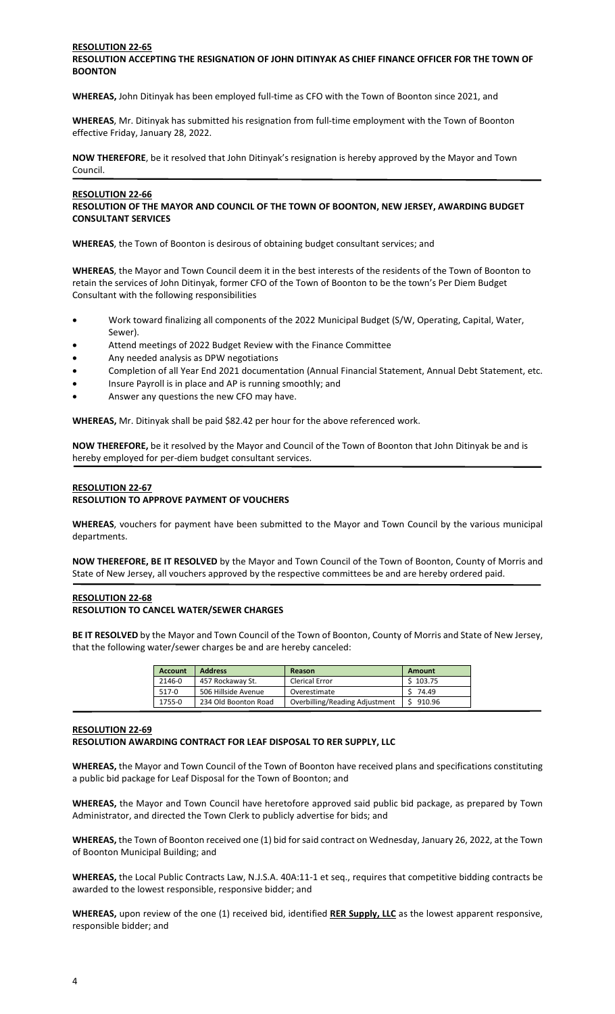#### **RESOLUTION 22-65 RESOLUTION ACCEPTING THE RESIGNATION OF JOHN DITINYAK AS CHIEF FINANCE OFFICER FOR THE TOWN OF BOONTON**

**WHEREAS,** John Ditinyak has been employed full-time as CFO with the Town of Boonton since 2021, and

**WHEREAS**, Mr. Ditinyak has submitted his resignation from full-time employment with the Town of Boonton effective Friday, January 28, 2022.

**NOW THEREFORE**, be it resolved that John Ditinyak's resignation is hereby approved by the Mayor and Town Council.

#### **RESOLUTION 22-66**

#### **RESOLUTION OF THE MAYOR AND COUNCIL OF THE TOWN OF BOONTON, NEW JERSEY, AWARDING BUDGET CONSULTANT SERVICES**

**WHEREAS**, the Town of Boonton is desirous of obtaining budget consultant services; and

**WHEREAS**, the Mayor and Town Council deem it in the best interests of the residents of the Town of Boonton to retain the services of John Ditinyak, former CFO of the Town of Boonton to be the town's Per Diem Budget Consultant with the following responsibilities

- Work toward finalizing all components of the 2022 Municipal Budget (S/W, Operating, Capital, Water, Sewer).
- Attend meetings of 2022 Budget Review with the Finance Committee
- Any needed analysis as DPW negotiations
- Completion of all Year End 2021 documentation (Annual Financial Statement, Annual Debt Statement, etc.
- Insure Payroll is in place and AP is running smoothly; and
- Answer any questions the new CFO may have.

**WHEREAS,** Mr. Ditinyak shall be paid \$82.42 per hour for the above referenced work.

**NOW THEREFORE,** be it resolved by the Mayor and Council of the Town of Boonton that John Ditinyak be and is hereby employed for per-diem budget consultant services.

#### **RESOLUTION 22-67 RESOLUTION TO APPROVE PAYMENT OF VOUCHERS**

**WHEREAS**, vouchers for payment have been submitted to the Mayor and Town Council by the various municipal departments.

**NOW THEREFORE, BE IT RESOLVED** by the Mayor and Town Council of the Town of Boonton, County of Morris and State of New Jersey, all vouchers approved by the respective committees be and are hereby ordered paid.

#### **RESOLUTION 22-68 RESOLUTION TO CANCEL WATER/SEWER CHARGES**

**BE IT RESOLVED** by the Mayor and Town Council of the Town of Boonton, County of Morris and State of New Jersey, that the following water/sewer charges be and are hereby canceled:

| <b>Account</b> | <b>Address</b>       | Reason                         | Amount   |
|----------------|----------------------|--------------------------------|----------|
| 2146-0         | 457 Rockaway St.     | <b>Clerical Error</b>          | \$103.75 |
| 517-0          | 506 Hillside Avenue  | Overestimate                   | 74.49    |
| 1755-0         | 234 Old Boonton Road | Overbilling/Reading Adjustment | 910.96   |

#### **RESOLUTION 22-69**

#### **RESOLUTION AWARDING CONTRACT FOR LEAF DISPOSAL TO RER SUPPLY, LLC**

**WHEREAS,** the Mayor and Town Council of the Town of Boonton have received plans and specifications constituting a public bid package for Leaf Disposal for the Town of Boonton; and

**WHEREAS,** the Mayor and Town Council have heretofore approved said public bid package, as prepared by Town Administrator, and directed the Town Clerk to publicly advertise for bids; and

**WHEREAS,** the Town of Boonton received one (1) bid for said contract on Wednesday, January 26, 2022, at the Town of Boonton Municipal Building; and

**WHEREAS,** the Local Public Contracts Law, N.J.S.A. 40A:11-1 et seq., requires that competitive bidding contracts be awarded to the lowest responsible, responsive bidder; and

**WHEREAS,** upon review of the one (1) received bid, identified **RER Supply, LLC** as the lowest apparent responsive, responsible bidder; and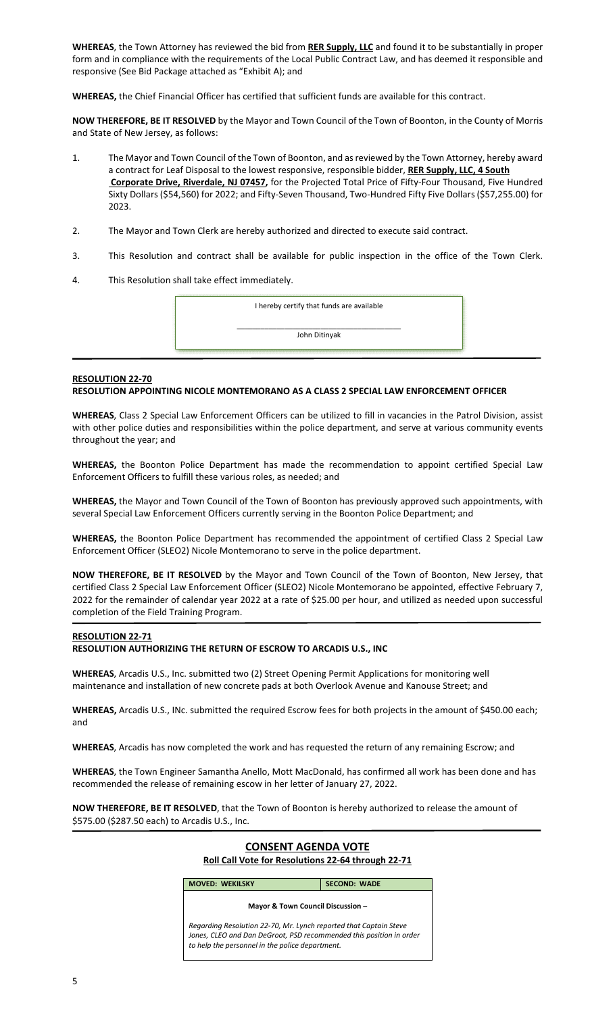**WHEREAS**, the Town Attorney has reviewed the bid from **RER Supply, LLC** and found it to be substantially in proper form and in compliance with the requirements of the Local Public Contract Law, and has deemed it responsible and responsive (See Bid Package attached as "Exhibit A); and

**WHEREAS,** the Chief Financial Officer has certified that sufficient funds are available for this contract.

**NOW THEREFORE, BE IT RESOLVED** by the Mayor and Town Council of the Town of Boonton, in the County of Morris and State of New Jersey, as follows:

- 1. The Mayor and Town Council of the Town of Boonton, and as reviewed by the Town Attorney, hereby award a contract for Leaf Disposal to the lowest responsive, responsible bidder, **RER Supply, LLC, 4 South Corporate Drive, Riverdale, NJ 07457,** for the Projected Total Price of Fifty-Four Thousand, Five Hundred Sixty Dollars (\$54,560) for 2022; and Fifty-Seven Thousand, Two-Hundred Fifty Five Dollars (\$57,255.00) for 2023.
- 2. The Mayor and Town Clerk are hereby authorized and directed to execute said contract.
- 3. This Resolution and contract shall be available for public inspection in the office of the Town Clerk.
- 4. This Resolution shall take effect immediately.

I hereby certify that funds are available

\_\_\_\_\_\_\_\_\_\_\_\_\_\_\_\_\_\_\_\_\_\_\_\_\_\_\_\_\_\_\_\_\_\_\_\_\_\_\_\_\_ John Ditinyak

#### **RESOLUTION 22-70 RESOLUTION APPOINTING NICOLE MONTEMORANO AS A CLASS 2 SPECIAL LAW ENFORCEMENT OFFICER**

**WHEREAS**, Class 2 Special Law Enforcement Officers can be utilized to fill in vacancies in the Patrol Division, assist with other police duties and responsibilities within the police department, and serve at various community events throughout the year; and

**WHEREAS,** the Boonton Police Department has made the recommendation to appoint certified Special Law Enforcement Officers to fulfill these various roles, as needed; and

**WHEREAS,** the Mayor and Town Council of the Town of Boonton has previously approved such appointments, with several Special Law Enforcement Officers currently serving in the Boonton Police Department; and

**WHEREAS,** the Boonton Police Department has recommended the appointment of certified Class 2 Special Law Enforcement Officer (SLEO2) Nicole Montemorano to serve in the police department.

**NOW THEREFORE, BE IT RESOLVED** by the Mayor and Town Council of the Town of Boonton, New Jersey, that certified Class 2 Special Law Enforcement Officer (SLEO2) Nicole Montemorano be appointed, effective February 7, 2022 for the remainder of calendar year 2022 at a rate of \$25.00 per hour, and utilized as needed upon successful completion of the Field Training Program.

#### **RESOLUTION 22-71**

#### **RESOLUTION AUTHORIZING THE RETURN OF ESCROW TO ARCADIS U.S., INC**

**WHEREAS**, Arcadis U.S., Inc. submitted two (2) Street Opening Permit Applications for monitoring well maintenance and installation of new concrete pads at both Overlook Avenue and Kanouse Street; and

**WHEREAS,** Arcadis U.S., INc. submitted the required Escrow fees for both projects in the amount of \$450.00 each; and

**WHEREAS**, Arcadis has now completed the work and has requested the return of any remaining Escrow; and

**WHEREAS**, the Town Engineer Samantha Anello, Mott MacDonald, has confirmed all work has been done and has recommended the release of remaining escow in her letter of January 27, 2022.

**NOW THEREFORE, BE IT RESOLVED**, that the Town of Boonton is hereby authorized to release the amount of \$575.00 (\$287.50 each) to Arcadis U.S., Inc.

# **CONSENT AGENDA VOTE Roll Call Vote for Resolutions 22-64 through 22-71**

**MOVED: WEKILSKY SECOND: WADE** 

# **Mayor & Town Council Discussion –**

*Regarding Resolution 22-70, Mr. Lynch reported that Captain Steve Jones, CLEO and Dan DeGroot, PSD recommended this position in order to help the personnel in the police department.*